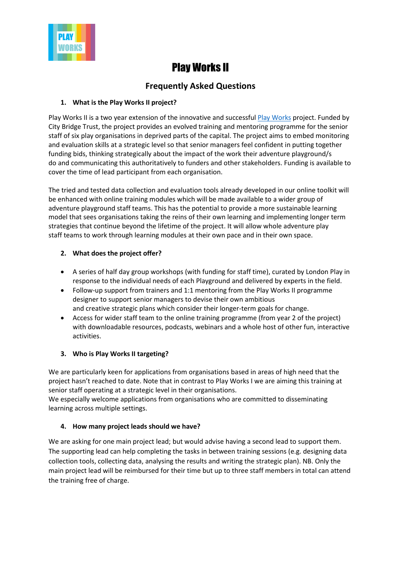

# Play Works II

# **Frequently Asked Questions**

# **1. What is the Play Works II project?**

Play Works II is a two year extension of the innovative and successfu[l Play Works](https://www.londonplay.org.uk/blog_entry/3594/our_work/recent_work/play_works/play_works/play_works___join_in) project. Funded by City Bridge Trust, the project provides an evolved training and mentoring programme for the senior staff of six play organisations in deprived parts of the capital. The project aims to embed monitoring and evaluation skills at a strategic level so that senior managers feel confident in putting together funding bids, thinking strategically about the impact of the work their adventure playground/s do and communicating this authoritatively to funders and other stakeholders. Funding is available to cover the time of lead participant from each organisation.

The tried and tested data collection and evaluation tools already developed in our online toolkit will be enhanced with online training modules which will be made available to a wider group of adventure playground staff teams. This has the potential to provide a more sustainable learning model that sees organisations taking the reins of their own learning and implementing longer term strategies that continue beyond the lifetime of the project. It will allow whole adventure play staff teams to work through learning modules at their own pace and in their own space.

# **2. What does the project offer?**

- A series of half day group workshops (with funding for staff time), curated by London Play in response to the individual needs of each Playground and delivered by experts in the field.
- Follow-up support from trainers and 1:1 mentoring from the Play Works II programme designer to support senior managers to devise their own ambitious and creative strategic plans which consider their longer-term goals for change.
- Access for wider staff team to the online training programme (from year 2 of the project) with downloadable resources, podcasts, webinars and a whole host of other fun, interactive activities.

# **3. Who is Play Works II targeting?**

We are particularly keen for applications from organisations based in areas of high need that the project hasn't reached to date. Note that in contrast to Play Works I we are aiming this training at senior staff operating at a strategic level in their organisations.

We especially welcome applications from organisations who are committed to disseminating learning across multiple settings.

### **4. How many project leads should we have?**

We are asking for one main project lead; but would advise having a second lead to support them. The supporting lead can help completing the tasks in between training sessions (e.g. designing data collection tools, collecting data, analysing the results and writing the strategic plan). NB. Only the main project lead will be reimbursed for their time but up to three staff members in total can attend the training free of charge.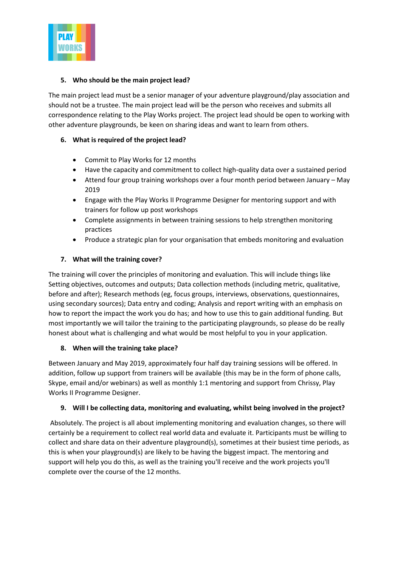

### **5. Who should be the main project lead?**

The main project lead must be a senior manager of your adventure playground/play association and should not be a trustee. The main project lead will be the person who receives and submits all correspondence relating to the Play Works project. The project lead should be open to working with other adventure playgrounds, be keen on sharing ideas and want to learn from others.

# **6. What is required of the project lead?**

- Commit to Play Works for 12 months
- Have the capacity and commitment to collect high-quality data over a sustained period
- Attend four group training workshops over a four month period between January May 2019
- Engage with the Play Works II Programme Designer for mentoring support and with trainers for follow up post workshops
- Complete assignments in between training sessions to help strengthen monitoring practices
- Produce a strategic plan for your organisation that embeds monitoring and evaluation

# **7. What will the training cover?**

The training will cover the principles of monitoring and evaluation. This will include things like Setting objectives, outcomes and outputs; Data collection methods (including metric, qualitative, before and after); Research methods (eg, focus groups, interviews, observations, questionnaires, using secondary sources); Data entry and coding; Analysis and report writing with an emphasis on how to report the impact the work you do has; and how to use this to gain additional funding. But most importantly we will tailor the training to the participating playgrounds, so please do be really honest about what is challenging and what would be most helpful to you in your application.

# **8. When will the training take place?**

Between January and May 2019, approximately four half day training sessions will be offered. In addition, follow up support from trainers will be available (this may be in the form of phone calls, Skype, email and/or webinars) as well as monthly 1:1 mentoring and support from Chrissy, Play Works II Programme Designer.

### **9. Will I be collecting data, monitoring and evaluating, whilst being involved in the project?**

Absolutely. The project is all about implementing monitoring and evaluation changes, so there will certainly be a requirement to collect real world data and evaluate it. Participants must be willing to collect and share data on their adventure playground(s), sometimes at their busiest time periods, as this is when your playground(s) are likely to be having the biggest impact. The mentoring and support will help you do this, as well as the training you'll receive and the work projects you'll complete over the course of the 12 months.